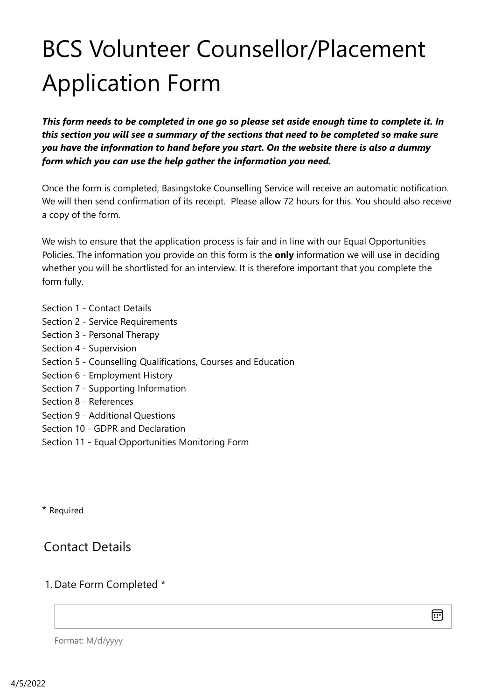# BCS Volunteer Counsellor/Placement Application Form

*This form needs to be completed in one go so please set aside enough time to complete it. In this section you will see a summary of the sections that need to be completed so make sure you have the information to hand before you start. On the website there is also a dummy form which you can use the help gather the information you need.*

Once the form is completed, Basingstoke Counselling Service will receive an automatic notification. We will then send confirmation of its receipt. Please allow 72 hours for this. You should also receive a copy of the form.

We wish to ensure that the application process is fair and in line with our Equal Opportunities Policies. The information you provide on this form is the **only** information we will use in deciding whether you will be shortlisted for an interview. It is therefore important that you complete the form fully.

- Section 1 Contact Details
- Section 2 Service Requirements
- Section 3 Personal Therapy
- Section 4 Supervision
- Section 5 Counselling Qualifications, Courses and Education
- Section 6 Employment History
- Section 7 Supporting Information
- Section 8 References
- Section 9 Additional Questions
- Section 10 GDPR and Declaration
- Section 11 Equal Opportunities Monitoring Form

\* Required

## Contact Details

#### 1. Date Form Completed \*

扁

Format: M/d/yyyy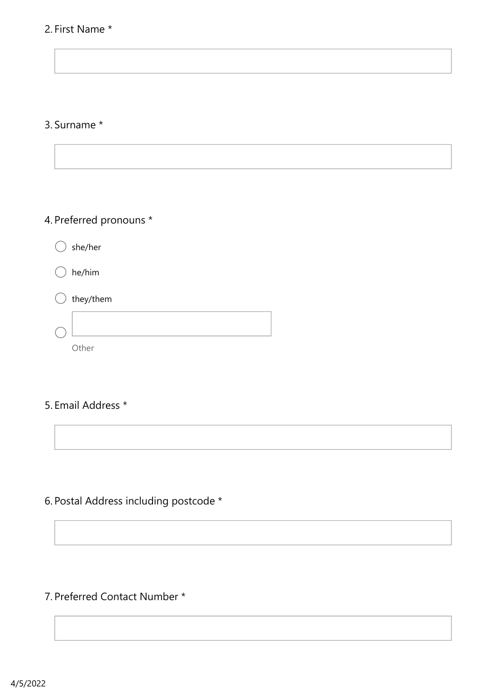#### 2. First Name \*

#### 3. Surname \*

## 4. Preferred pronouns \*

she/her

he/him

| $\bigcirc$ they/them |  |  |
|----------------------|--|--|
|                      |  |  |
| Other                |  |  |

#### 5. Email Address \*



#### 7. Preferred Contact Number \*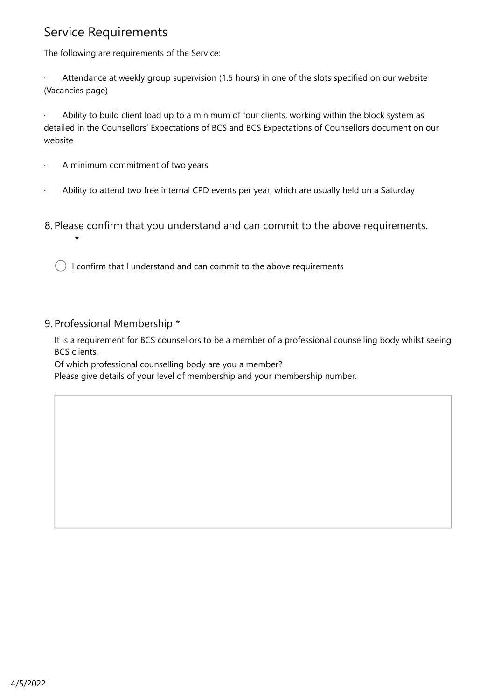## Service Requirements

The following are requirements of the Service:

Attendance at weekly group supervision (1.5 hours) in one of the slots specified on our website (Vacancies page)

Ability to build client load up to a minimum of four clients, working within the block system as detailed in the Counsellors' Expectations of BCS and BCS Expectations of Counsellors document on our website

A minimum commitment of two years

Ability to attend two free internal CPD events per year, which are usually held on a Saturday

8. Please confirm that you understand and can commit to the above requirements.

 $\big)$  I confirm that I understand and can commit to the above requirements

#### 9. Professional Membership \*

 $\star$ 

It is a requirement for BCS counsellors to be a member of a professional counselling body whilst seeing BCS clients.

Of which professional counselling body are you a member?

Please give details of your level of membership and your membership number.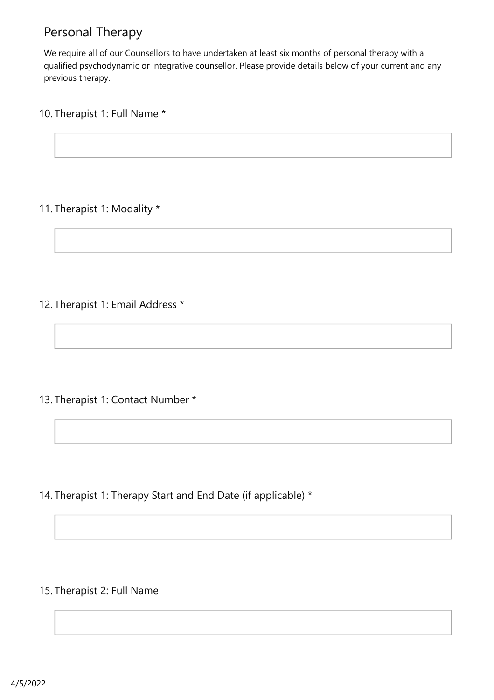# Personal Therapy

We require all of our Counsellors to have undertaken at least six months of personal therapy with a qualified psychodynamic or integrative counsellor. Please provide details below of your current and any previous therapy.

#### 10. Therapist 1: Full Name \*

#### 11. Therapist 1: Modality \*

#### 12. Therapist 1: Email Address \*

13. Therapist 1: Contact Number \*

14. Therapist 1: Therapy Start and End Date (if applicable) \*

#### 15. Therapist 2: Full Name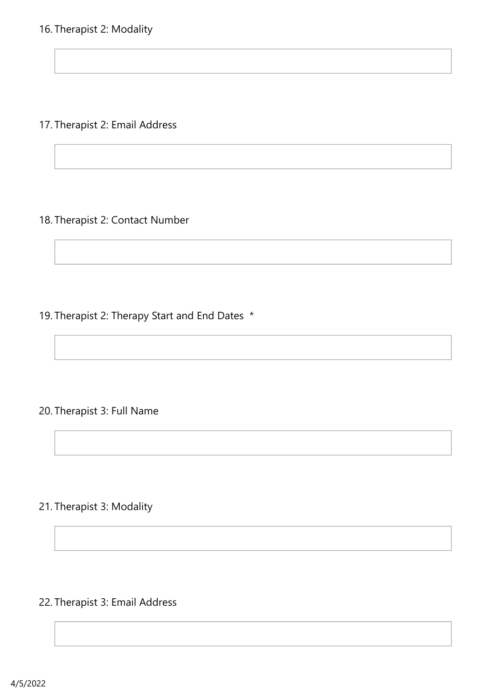17. Therapist 2: Email Address

#### 18. Therapist 2: Contact Number

19. Therapist 2: Therapy Start and End Dates \*

#### 20. Therapist 3: Full Name

## 21. Therapist 3: Modality

## 22. Therapist 3: Email Address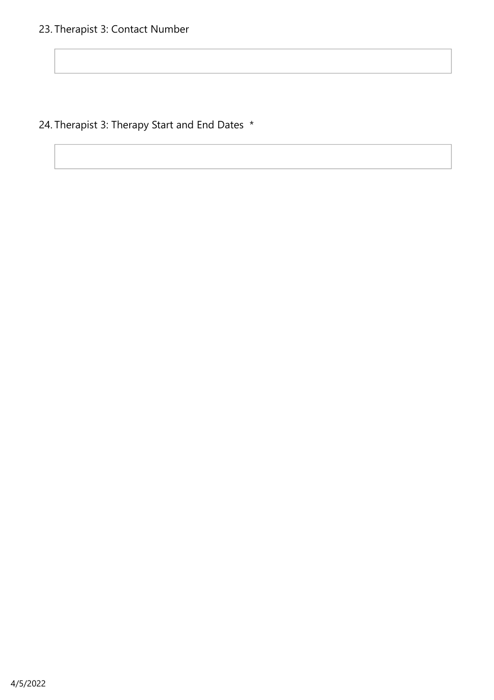24. Therapist 3: Therapy Start and End Dates \*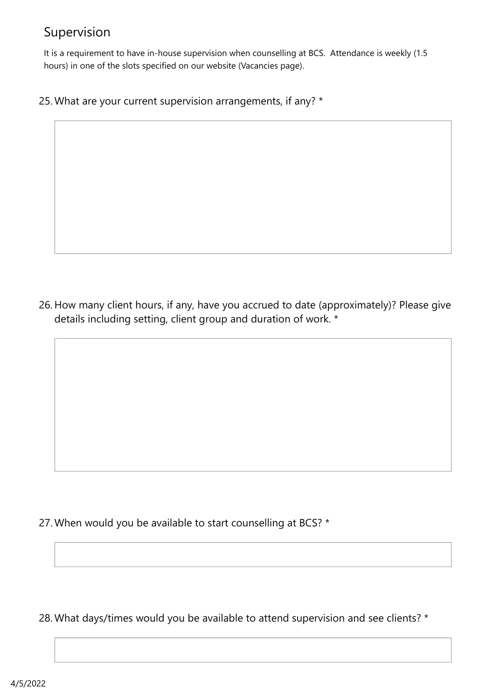# Supervision

It is a requirement to have in-house supervision when counselling at BCS. Attendance is weekly (1.5 hours) in one of the slots specified on our website (Vacancies page).

25. What are your current supervision arrangements, if any? \*

26. How many client hours, if any, have you accrued to date (approximately)? Please give details including setting, client group and duration of work. \*

27. When would you be available to start counselling at BCS? \*

28. What days/times would you be available to attend supervision and see clients? \*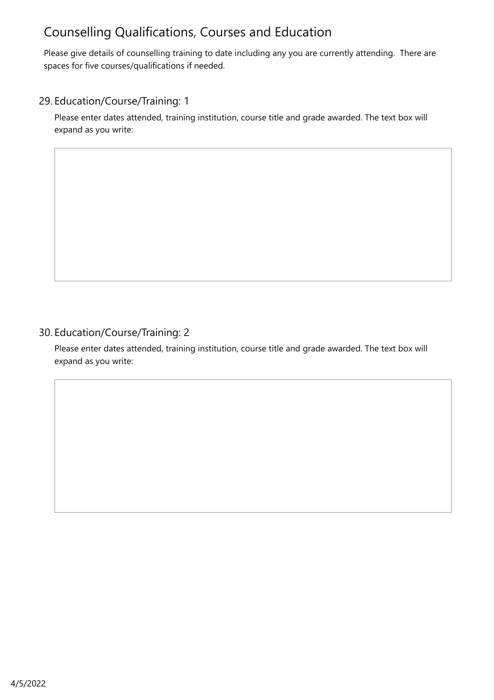# Counselling Qualifications, Courses and Education

Please give details of counselling training to date including any you are currently attending. There are spaces for five courses/qualifications if needed.

#### 29. Education/Course/Training: 1

Please enter dates attended, training institution, course title and grade awarded. The text box will expand as you write:

#### 30. Education/Course/Training: 2

Please enter dates attended, training institution, course title and grade awarded. The text box will expand as you write: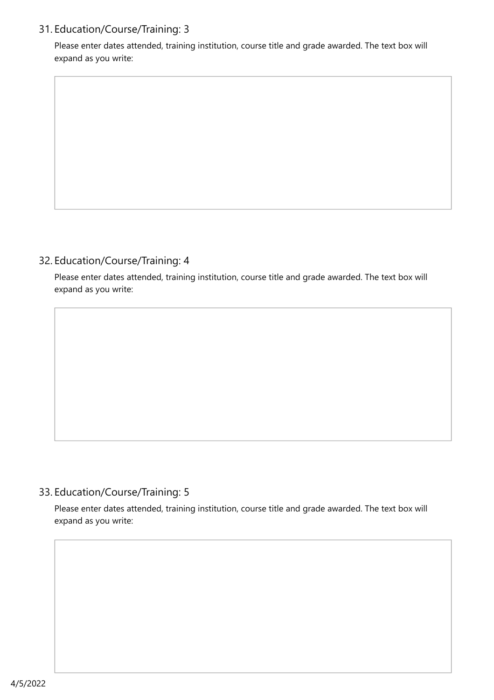#### 31. Education/Course/Training: 3

Please enter dates attended, training institution, course title and grade awarded. The text box will expand as you write:

#### 32. Education/Course/Training: 4

Please enter dates attended, training institution, course title and grade awarded. The text box will expand as you write:

#### 33. Education/Course/Training: 5

Please enter dates attended, training institution, course title and grade awarded. The text box will expand as you write: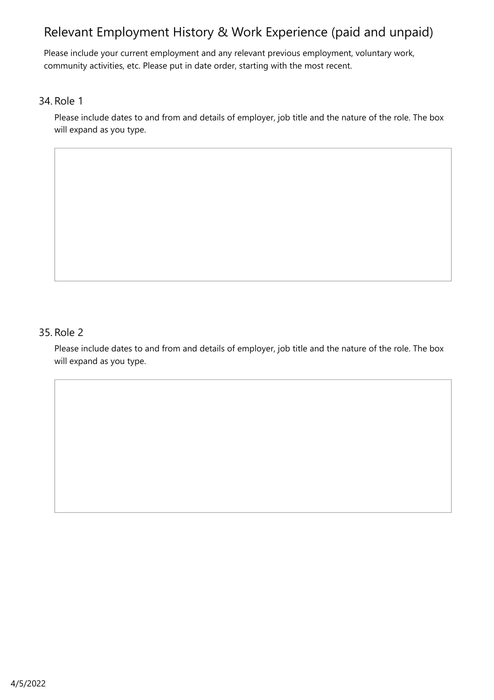# Relevant Employment History & Work Experience (paid and unpaid)

Please include your current employment and any relevant previous employment, voluntary work, community activities, etc. Please put in date order, starting with the most recent.

#### 34. Role 1

Please include dates to and from and details of employer, job title and the nature of the role. The box will expand as you type.

#### 35. Role 2

Please include dates to and from and details of employer, job title and the nature of the role. The box will expand as you type.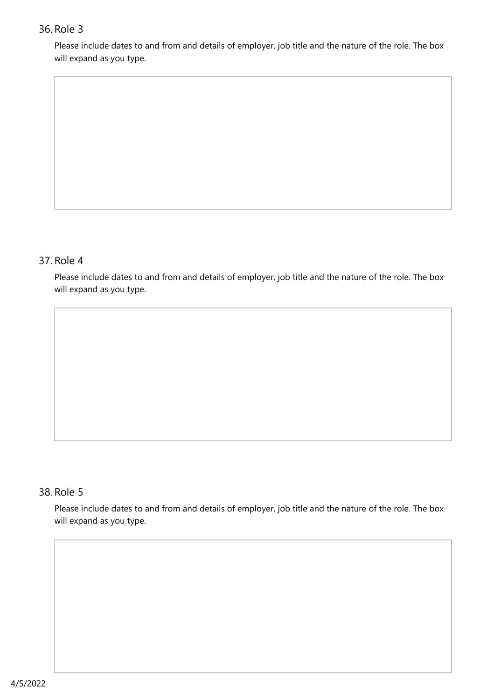#### 36. Role 3

Please include dates to and from and details of employer, job title and the nature of the role. The box will expand as you type.

#### 37. Role 4

Please include dates to and from and details of employer, job title and the nature of the role. The box will expand as you type.

#### 38. Role 5

Please include dates to and from and details of employer, job title and the nature of the role. The box will expand as you type.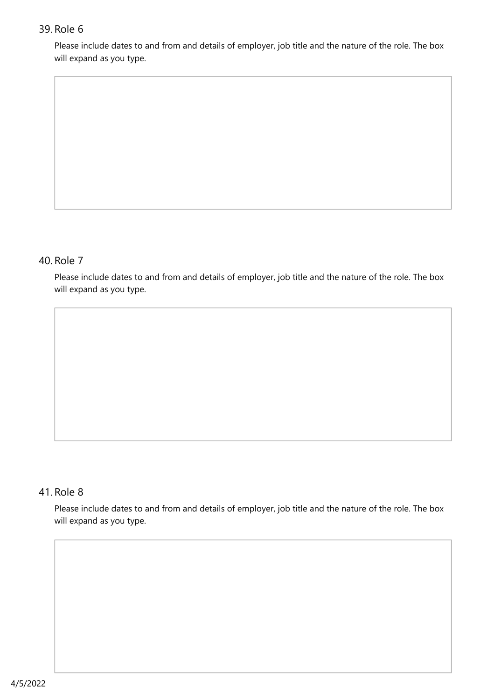#### 39. Role 6

Please include dates to and from and details of employer, job title and the nature of the role. The box will expand as you type.

#### 40. Role 7

Please include dates to and from and details of employer, job title and the nature of the role. The box will expand as you type.

#### 41. Role 8

Please include dates to and from and details of employer, job title and the nature of the role. The box will expand as you type.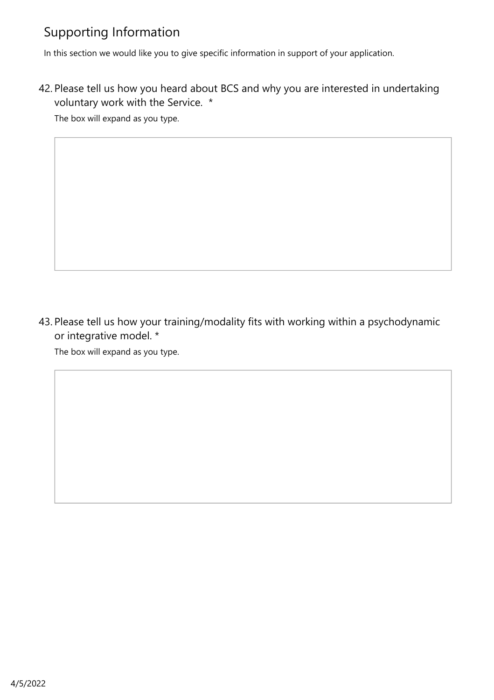# Supporting Information

In this section we would like you to give specific information in support of your application.

42. Please tell us how you heard about BCS and why you are interested in undertaking voluntary work with the Service. \*

The box will expand as you type.

43. Please tell us how your training/modality fits with working within a psychodynamic or integrative model. \*

The box will expand as you type.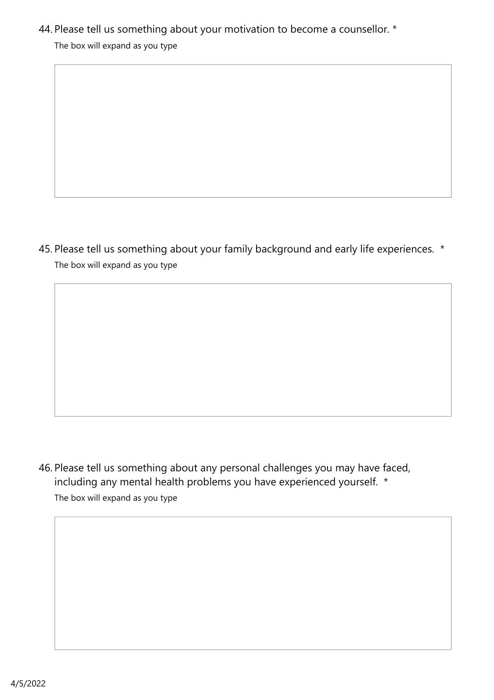## 44. Please tell us something about your motivation to become a counsellor. \*

The box will expand as you type

The box will expand as you type 45. Please tell us something about your family background and early life experiences. \*

The box will expand as you type 46. Please tell us something about any personal challenges you may have faced, including any mental health problems you have experienced yourself. \*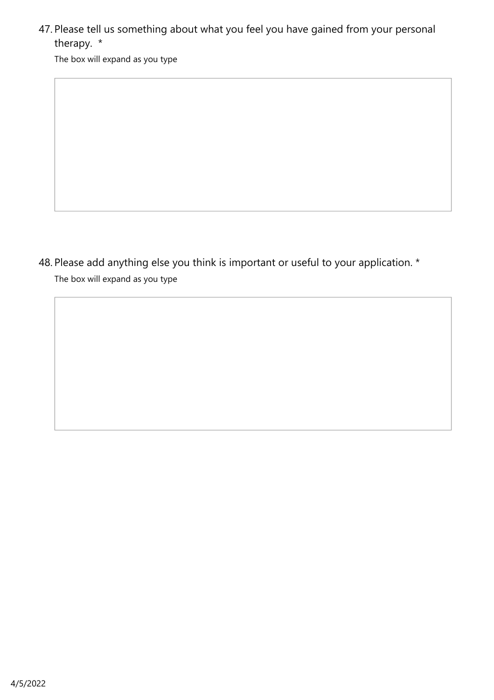47. Please tell us something about what you feel you have gained from your personal therapy. \*

The box will expand as you type

The box will expand as you type 48. Please add anything else you think is important or useful to your application. \*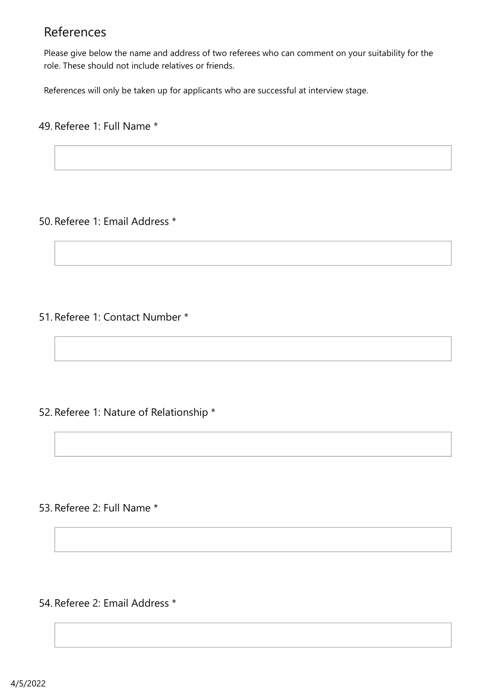## References

Please give below the name and address of two referees who can comment on your suitability for the role. These should not include relatives or friends.

References will only be taken up for applicants who are successful at interview stage.

#### 49. Referee 1: Full Name \*

#### 50. Referee 1: Email Address \*

51. Referee 1: Contact Number \*

#### 52. Referee 1: Nature of Relationship \*

53. Referee 2: Full Name \*

54. Referee 2: Email Address \*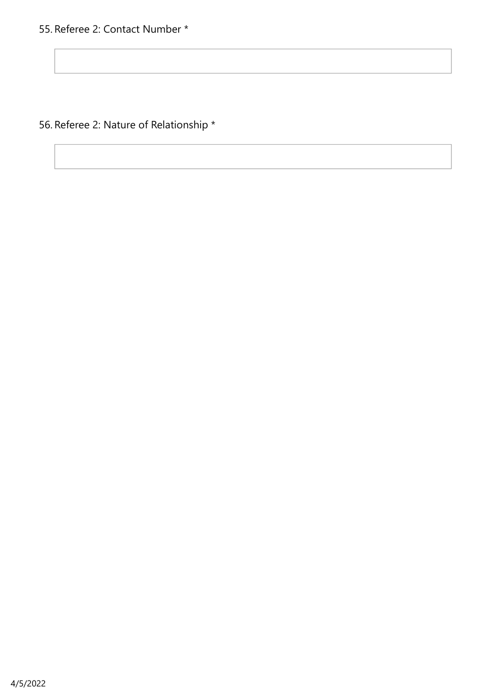56. Referee 2: Nature of Relationship \*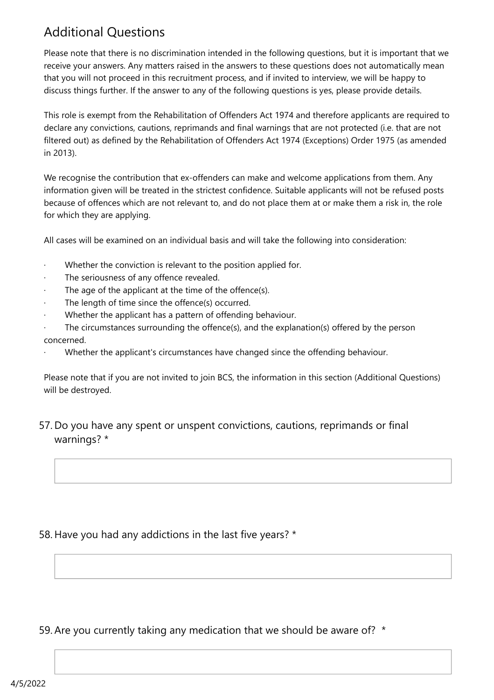# Additional Questions

Please note that there is no discrimination intended in the following questions, but it is important that we receive your answers. Any matters raised in the answers to these questions does not automatically mean that you will not proceed in this recruitment process, and if invited to interview, we will be happy to discuss things further. If the answer to any of the following questions is yes, please provide details.

This role is exempt from the Rehabilitation of Offenders Act 1974 and therefore applicants are required to declare any convictions, cautions, reprimands and final warnings that are not protected (i.e. that are not filtered out) as defined by the Rehabilitation of Offenders Act 1974 (Exceptions) Order 1975 (as amended in 2013).

We recognise the contribution that ex-offenders can make and welcome applications from them. Any information given will be treated in the strictest confidence. Suitable applicants will not be refused posts because of offences which are not relevant to, and do not place them at or make them a risk in, the role for which they are applying.

All cases will be examined on an individual basis and will take the following into consideration:

- Whether the conviction is relevant to the position applied for.
- The seriousness of any offence revealed.
- The age of the applicant at the time of the offence(s).
- The length of time since the offence(s) occurred.
- Whether the applicant has a pattern of offending behaviour.
- The circumstances surrounding the offence(s), and the explanation(s) offered by the person concerned.
- Whether the applicant's circumstances have changed since the offending behaviour.

Please note that if you are not invited to join BCS, the information in this section (Additional Questions) will be destroyed.

#### 57. Do you have any spent or unspent convictions, cautions, reprimands or final warnings? \*

#### 58. Have you had any addictions in the last five years? \*

59. Are you currently taking any medication that we should be aware of? \*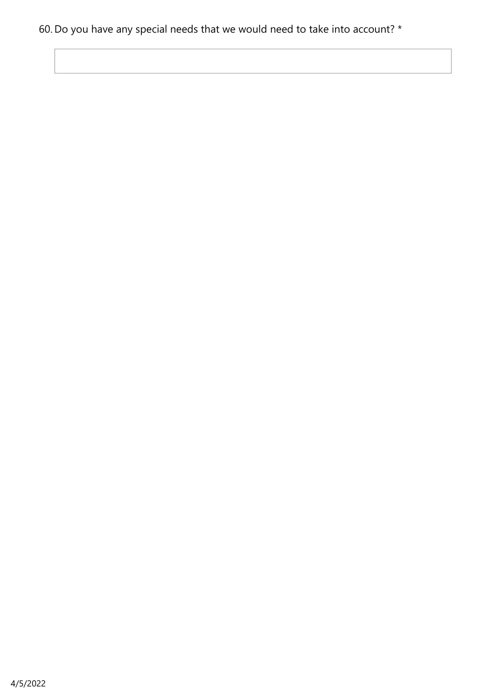# 60. Do you have any special needs that we would need to take into account? \*